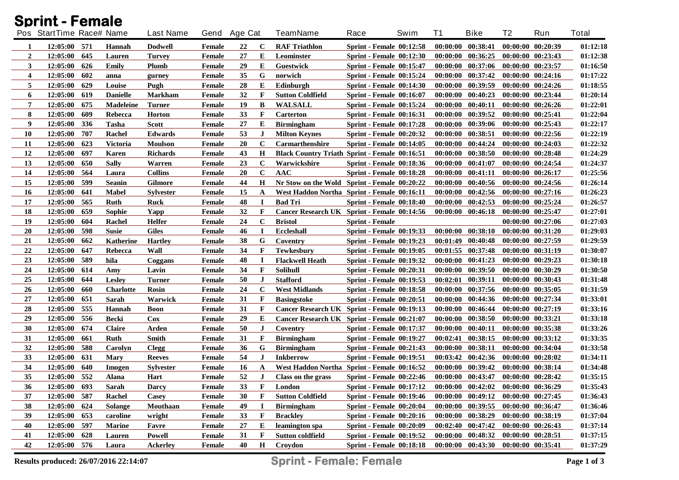|                         | <b>Sprint - Female</b>   |     |                  |                  |               |              |              |                                                      |                                 |      |    |                                             |                   |                       |              |
|-------------------------|--------------------------|-----|------------------|------------------|---------------|--------------|--------------|------------------------------------------------------|---------------------------------|------|----|---------------------------------------------|-------------------|-----------------------|--------------|
|                         | Pos StartTime Race# Name |     |                  | <b>Last Name</b> |               | Gend Age Cat |              | <b>TeamName</b>                                      | Race                            | Swim | T1 | <b>Bike</b>                                 | T2                | Run                   | <b>Total</b> |
| 1                       | 12:05:00 571             |     | Hannah           | Dodwell          | Female        | 22           | C            | <b>RAF Triathlon</b>                                 | <b>Sprint - Female 00:12:58</b> |      |    | $00:00:00$ $00:38:41$                       |                   | 00:00:00 00:20:39     | 01:12:18     |
| $\overline{2}$          | 12:05:00                 | 645 | Lauren           | <b>Turvey</b>    | Female        | 27           | Е            | Leominster                                           | <b>Sprint - Female 00:12:30</b> |      |    | $00:00:00$ $00:36:25$                       |                   | 00:00:00 00:23:43     | 01:12:38     |
| 3                       | 12:05:00                 | 626 | Emily            | Plumb            | Female        | 29           | Е            | <b>Guestwick</b>                                     | <b>Sprint - Female 00:15:47</b> |      |    | 00:00:00 00:37:06                           |                   | 00:00:00 00:23:57     | 01:16:50     |
| $\overline{\mathbf{4}}$ | 12:05:00                 | 602 | anna             | gurney           | <b>Female</b> | 35           | G            | norwich                                              | <b>Sprint - Female 00:15:24</b> |      |    | 00:00:00 00:37:42                           |                   | 00:00:00 00:24:16     | 01:17:22     |
| 5                       | 12:05:00                 | 629 | Louise           | Pugh             | <b>Female</b> | 28           | E            | Edinburgh                                            | <b>Sprint - Female 00:14:30</b> |      |    | 00:00:00 00:39:59                           |                   | 00:00:00 00:24:26     | 01:18:55     |
| 6                       | 12:05:00                 | 619 | <b>Danielle</b>  | <b>Markham</b>   | Female        | 32           | F            | <b>Sutton Coldfield</b>                              | <b>Sprint - Female 00:16:07</b> |      |    | $00:00:00$ $00:40:23$                       |                   | 00:00:00 00:23:44     | 01:20:14     |
| 7                       | 12:05:00                 | 675 | <b>Madeleine</b> | <b>Turner</b>    | <b>Female</b> | 19           | B            | <b>WALSALL</b>                                       | <b>Sprint - Female 00:15:24</b> |      |    | 00:00:00 00:40:11                           |                   | 00:00:00 00:26:26     | 01:22:01     |
| 8                       | 12:05:00                 | 609 | Rebecca          | <b>Horton</b>    | <b>Female</b> | 33           | F            | Carterton                                            | <b>Sprint - Female 00:16:31</b> |      |    | 00:00:00 00:39:52                           | 00:00:00 00:25:41 |                       | 01:22:04     |
| 9                       | 12:05:00                 | 336 | <b>Tasha</b>     | <b>Scott</b>     | <b>Female</b> | 27           | Е            | <b>Birmingham</b>                                    | <b>Sprint - Female 00:17:28</b> |      |    | 00:00:00 00:39:06                           |                   | $00:00:00$ $00:25:43$ | 01:22:17     |
| <b>10</b>               | 12:05:00                 | 707 | Rachel           | <b>Edwards</b>   | <b>Female</b> | 53           | $\bf J$      | <b>Milton Keynes</b>                                 | <b>Sprint - Female 00:20:32</b> |      |    | 00:00:00 00:38:51                           |                   | $00:00:00$ $00:22:56$ | 01:22:19     |
| 11                      | 12:05:00                 | 623 | <b>Victoria</b>  | <b>Moulson</b>   | Female        | 20           | $\mathbf C$  | <b>Carmarthenshire</b>                               | <b>Sprint - Female 00:14:05</b> |      |    | 00:00:00 00:44:24                           |                   | 00:00:00 00:24:03     | 01:22:32     |
| 12                      | 12:05:00                 | 697 | Karen            | <b>Richards</b>  | Female        | 43           | $\mathbf H$  | <b>Black Country Triath Sprint - Female 00:16:51</b> |                                 |      |    | $00:00:00$ $00:38:50$                       |                   | $00:00:00$ $00:28:48$ | 01:24:29     |
| 13                      | 12:05:00                 | 650 | <b>Sally</b>     | Warren           | <b>Female</b> | 23           | $\mathbf C$  | Warwickshire                                         | <b>Sprint - Female 00:18:36</b> |      |    | 00:00:00 00:41:07                           |                   | 00:00:00 00:24:54     | 01:24:37     |
| 14                      | 12:05:00                 | 564 | Laura            | <b>Collins</b>   | Female        | 20           | $\mathbf C$  | <b>AAC</b>                                           | Sprint - Female 00:18:28        |      |    | 00:00:00 00:41:11                           |                   | 00:00:00 00:26:17     | 01:25:56     |
| 15                      | 12:05:00                 | 599 | <b>Seanin</b>    | <b>Gilmore</b>   | Female        | 44           | $\mathbf H$  | Nr Stow on the Wold Sprint - Female 00:20:22         |                                 |      |    | 00:00:00 00:40:56                           |                   | 00:00:00 00:24:56     | 01:26:14     |
| <b>16</b>               | 12:05:00                 | 641 | <b>Mabel</b>     | <b>Sylvester</b> | Female        | 15           | A            | West Haddon Northa Sprint - Female 00:16:11          |                                 |      |    | $00:00:00$ $00:42:56$                       |                   | 00:00:00 00:27:16     | 01:26:23     |
| 17                      | 12:05:00                 | 565 | <b>Ruth</b>      | <b>Ruck</b>      | Female        | 48           | 1            | <b>Bad Tri</b>                                       | Sprint - Female 00:18:40        |      |    | $00:00:00$ $00:42:53$                       |                   | $00:00:00$ $00:25:24$ | 01:26:57     |
| 18                      | 12:05:00                 | 659 | Sophie           | Yapp             | Female        | 32           | $\mathbf{F}$ | Cancer Research UK Sprint - Female 00:14:56          |                                 |      |    | $00:00:00$ $00:46:18$                       | 00:00:00 00:25:47 |                       | 01:27:01     |
| 19                      | 12:05:00                 | 604 | Rachel           | <b>Helfer</b>    | Female        | 24           | $\bf C$      | <b>Bristol</b>                                       | <b>Sprint</b> - Female          |      |    |                                             |                   | 00:00:00 00:27:06     | 01:27:03     |
| 20                      | 12:05:00                 | 598 | <b>Susie</b>     | <b>Giles</b>     | Female        | 46           | 1            | <b>Eccleshall</b>                                    | <b>Sprint - Female 00:19:33</b> |      |    | $00:00:00$ $00:38:10$                       |                   | $00:00:00$ $00:31:20$ | 01:29:03     |
| 21                      | 12:05:00                 | 662 | <b>Katherine</b> | <b>Hartley</b>   | <b>Female</b> | 38           | G            | Coventry                                             | <b>Sprint - Female 00:19:23</b> |      |    | $00:01:49$ $00:40:48$                       |                   | 00:00:00 00:27:59     | 01:29:59     |
| 22                      | 12:05:00                 | 647 | Rebecca          | Wall             | <b>Female</b> | 34           | F            | <b>Tewkesbury</b>                                    | <b>Sprint - Female 00:19:05</b> |      |    | $00:01:55$ $00:37:48$                       |                   | $00:00:00$ $00:31:19$ | 01:30:07     |
| 23                      | 12:05:00                 | 589 | hila             | Coggans          | <b>Female</b> | 48           | $\bf I$      | <b>Flackwell Heath</b>                               | <b>Sprint - Female 00:19:32</b> |      |    | $00:00:00$ $00:41:23$                       |                   | $00:00:00$ $00:29:23$ | 01:30:18     |
| 24                      | 12:05:00                 | 614 | Amy              | Lavin            | <b>Female</b> | 34           | F            | <b>Solihull</b>                                      | <b>Sprint - Female 00:20:31</b> |      |    | $00:00:00$ $00:39:50$                       |                   | 00:00:00 00:30:29     | 01:30:50     |
| 25                      | 12:05:00                 | 644 | <b>Lesley</b>    | <b>Turner</b>    | Female        | 50           | $\bf J$      | <b>Stafford</b>                                      | <b>Sprint - Female 00:19:53</b> |      |    | 00:02:01 00:39:11                           |                   | $00:00:00$ $00:30:43$ | 01:31:48     |
| 26                      | 12:05:00                 | 660 | <b>Charlotte</b> | <b>Rosin</b>     | <b>Female</b> | 24           | $\mathbf c$  | <b>West Midlands</b>                                 | <b>Sprint - Female 00:18:58</b> |      |    | $00:00:00$ $00:37:56$                       |                   | $00:00:00$ $00:35:05$ | 01:31:59     |
| 27                      | 12:05:00                 | 651 | Sarah            | Warwick          | Female        | 31           | F            | <b>Basingstoke</b>                                   | <b>Sprint - Female 00:20:51</b> |      |    | 00:00:00 00:44:36                           |                   | $00:00:00$ $00:27:34$ | 01:33:01     |
| 28                      | 12:05:00                 | 555 | <b>Hannah</b>    | <b>Boon</b>      | <b>Female</b> | 31           | F            | Cancer Research UK Sprint - Female 00:19:13          |                                 |      |    | 00:00:00 00:46:44                           |                   | $00:00:00$ $00:27:19$ | 01:33:16     |
| 29                      | 12:05:00                 | 556 | <b>Becki</b>     | <b>Cox</b>       | <b>Female</b> | 29           | Е            | Cancer Research UK Sprint - Female 00:21:07          |                                 |      |    | $00:00:00$ $00:38:50$                       |                   | 00:00:00 00:33:21     | 01:33:18     |
| 30                      | 12:05:00                 | 674 | <b>Claire</b>    | Arden            | Female        | 50           | $\bf J$      | Coventry                                             | <b>Sprint - Female 00:17:37</b> |      |    | $00:00:00$ $00:40:11$                       |                   | 00:00:00 00:35:38     | 01:33:26     |
| 31                      | 12:05:00                 | 661 | <b>Ruth</b>      | <b>Smith</b>     | <b>Female</b> | 31           | F            | <b>Birmingham</b>                                    | <b>Sprint - Female 00:19:27</b> |      |    | 00:02:41 00:38:15                           |                   | $00:00:00$ $00:33:12$ | 01:33:35     |
| 32                      | 12:05:00                 | 588 | Carolyn          | <b>Clegg</b>     | Female        | 36           | G            | <b>Birmingham</b>                                    | <b>Sprint - Female 00:21:43</b> |      |    | $00:00:00$ $00:38:11$                       |                   | $00:00:00$ $00:34:04$ | 01:33:58     |
| 33                      | 12:05:00                 | 631 | <b>Mary</b>      | <b>Reeves</b>    | <b>Female</b> | 54           | $\bf J$      | <b>Inkberrow</b>                                     | <b>Sprint - Female 00:19:51</b> |      |    | $00:03:42$ $00:42:36$                       |                   | $00:00:00$ $00:28:02$ | 01:34:11     |
| 34                      | 12:05:00                 | 640 | Imogen           | <b>Sylvester</b> | Female        | 16           | $\mathbf{A}$ | West Haddon Northa Sprint - Female 00:16:52          |                                 |      |    | $00:00:00$ $00:39:42$                       |                   | 00:00:00 00:38:14     | 01:34:48     |
| 35                      | 12:05:00 552             |     | Alana            | Hart             | Female        | 52           | J            | Class on the grass                                   | <b>Sprint - Female 00:22:46</b> |      |    | $00:00:00$ $00:43:47$ $00:00:00$ $00:28:42$ |                   |                       | 01:35:15     |
| 36                      | 12:05:00 693             |     | Sarah            | <b>Darcy</b>     | Female        | 33           | F            | London                                               | <b>Sprint - Female 00:17:12</b> |      |    | $00:00:00$ $00:42:02$                       |                   | 00:00:00 00:36:29     | 01:35:43     |
| 37                      | 12:05:00                 | 587 | Rachel           | Casey            | Female        | 30           | F            | <b>Sutton Coldfield</b>                              | <b>Sprint - Female 00:19:46</b> |      |    | $00:00:00$ $00:49:12$                       |                   | $00:00:00$ $00:27:45$ | 01:36:43     |
| 38                      | 12:05:00                 | 624 | <b>Solange</b>   | Mouthaan         | Female        | 49           | <b>I</b>     | <b>Birmingham</b>                                    | <b>Sprint - Female 00:20:04</b> |      |    | $00:00:00$ $00:39:55$                       | 00:00:00 00:36:47 |                       | 01:36:46     |
| 39                      | 12:05:00                 | 653 | caroline         | wright           | Female        | 33           | F            | <b>Brackley</b>                                      | Sprint - Female 00:20:16        |      |    | $00:00:00$ $00:38:29$                       |                   | 00:00:00 00:38:19     | 01:37:04     |
| 40                      | 12:05:00                 | 597 | <b>Marine</b>    | Favre            | Female        | 27           | E            | leamington spa                                       | Sprint - Female 00:20:09        |      |    | $00:02:40$ $00:47:42$                       |                   | 00:00:00 00:26:43     | 01:37:14     |
| 41                      | 12:05:00                 | 628 | Lauren           | Powell           | Female        | 31           | F            | <b>Sutton coldfield</b>                              | <b>Sprint - Female 00:19:52</b> |      |    | $00:00:00$ $00:48:32$                       |                   | $00:00:00$ $00:28:51$ | 01:37:15     |
| 42                      | 12:05:00 576             |     | Laura            | <b>Ackerley</b>  | Female        | 40           | $\mathbf H$  | Croydon                                              | Sprint - Female 00:18:18        |      |    | 00:00:00 00:43:30 00:00:00 00:35:41         |                   |                       | 01:37:29     |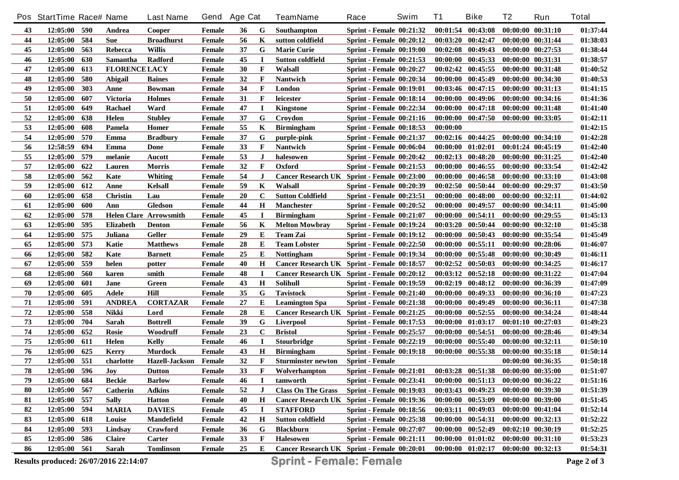|                                                                                        | Pos StartTime Race# Name |     |                         | <b>Last Name</b>              | Gend   | <b>Age Cat</b> |              | <b>TeamName</b>                             | Race                            | Swim | <b>T1</b> | <b>Bike</b>                                 | T <sub>2</sub>        | Run                   | <b>Total</b> |
|----------------------------------------------------------------------------------------|--------------------------|-----|-------------------------|-------------------------------|--------|----------------|--------------|---------------------------------------------|---------------------------------|------|-----------|---------------------------------------------|-----------------------|-----------------------|--------------|
| 43                                                                                     | 12:05:00 590             |     | Andrea                  | <b>Cooper</b>                 | Female | 36             | G            | Southampton                                 | Sprint - Female $00:21:32$      |      |           | $00:01:54$ $00:43:08$                       |                       | 00:00:00 00:31:10     | 01:37:44     |
| 44                                                                                     | 12:05:00 584             |     | <b>Sue</b>              | <b>Broadhurst</b>             | Female | 56             | K            | sutton coldfield                            | Sprint - Female 00:20:12        |      |           | $00:03:20$ $00:42:47$                       |                       | 00:00:00 00:31:44     | 01:38:03     |
| 45                                                                                     | 12:05:00                 | 563 | Rebecca                 | <b>Willis</b>                 | Female | 37             | G            | <b>Marie Curie</b>                          | <b>Sprint - Female 00:19:00</b> |      |           | $00:02:08$ 00:49:43                         | 00:00:00 00:27:53     |                       | 01:38:44     |
| 46                                                                                     | 12:05:00                 | 630 | Samantha                | Radford                       | Female | 45             | $\bf{I}$     | <b>Sutton coldfield</b>                     | <b>Sprint - Female 00:21:53</b> |      |           | $00:00:00$ $00:45:33$                       | 00:00:00 00:31:31     |                       | 01:38:57     |
| 47                                                                                     | 12:05:00                 | 613 | <b>FLORENCE LACY</b>    |                               | Female | 30             | F            | Walsall                                     | Sprint - Female 00:20:27        |      |           | $00:02:42$ $00:45:55$                       | $00:00:00$ $00:31:48$ |                       | 01:40:52     |
| 48                                                                                     | 12:05:00                 | 580 | Abigail                 | <b>Baines</b>                 | Female | 32             | F            | Nantwich                                    | Sprint - Female 00:20:34        |      |           | $00:00:00$ $00:45:49$                       | 00:00:00 00:34:30     |                       | 01:40:53     |
| 49                                                                                     | 12:05:00                 | 303 | Anne                    | <b>Bowman</b>                 | Female | 34             | $\mathbf{F}$ | London                                      | <b>Sprint - Female 00:19:01</b> |      |           | $00:03:46$ $00:47:15$                       | $00:00:00$ $00:31:13$ |                       | 01:41:15     |
| 50                                                                                     | 12:05:00                 | 607 | <b>Victoria</b>         | <b>Holmes</b>                 | Female | 31             | $\mathbf{F}$ | leicester                                   | Sprint - Female 00:18:14        |      |           | $00:00:00$ $00:49:06$                       |                       | 00:00:00 00:34:16     | 01:41:36     |
| 51                                                                                     | 12:05:00                 | 649 | Rachael                 | Ward                          | Female | 47             | $\bf{I}$     | <b>Kingstone</b>                            | <b>Sprint - Female 00:22:34</b> |      |           | $00:00:00$ $00:47:18$                       |                       | 00:00:00 00:31:48     | 01:41:40     |
| 52                                                                                     | 12:05:00                 | 638 | Helen                   | <b>Stubley</b>                | Female | 37             | G            | Crovdon                                     | <b>Sprint - Female 00:21:16</b> |      |           | $00:00:00$ $00:47:50$                       | $00:00:00$ $00:33:05$ |                       | 01:42:11     |
| 53                                                                                     | 12:05:00                 | 608 | Pamela                  | Homer                         | Female | 55             | K            | <b>Birmingham</b>                           | <b>Sprint - Female 00:18:53</b> |      | 00:00:00  |                                             |                       |                       | 01:42:15     |
| 54                                                                                     | 12:05:00                 | 570 | Emma                    | <b>Bradbury</b>               | Female | 37             | G            | purple-pink                                 | <b>Sprint - Female 00:21:37</b> |      |           | $00:02:16$ $00:44:25$ $00:00:00$ $00:34:10$ |                       |                       | 01:42:28     |
| 56                                                                                     | 12:58:59                 | 694 | Emma                    | Done                          | Female | 33             | F            | Nantwich                                    | Sprint - Female 00:06:04        |      |           | $00:00:00$ $01:02:01$                       |                       | $00:01:24$ $00:45:19$ | 01:42:40     |
| 55                                                                                     | 12:05:00                 | 579 | melanie                 | Aucott                        | Female | 53             | J            | halesowen                                   | <b>Sprint - Female 00:20:42</b> |      |           | $00:02:13$ $00:48:20$                       |                       | 00:00:00 00:31:25     | 01:42:40     |
| 57                                                                                     | 12:05:00                 | 622 | Lauren                  | <b>Morris</b>                 | Female | 32             | F            | Oxford                                      | <b>Sprint - Female 00:21:53</b> |      | 00:00:00  | 00:46:55                                    |                       | 00:00:00 00:33:54     | 01:42:42     |
| 58                                                                                     | 12:05:00                 | 562 | Kate                    | Whiting                       | Female | 54             | $\bf J$      | Cancer Research UK Sprint - Female 00:23:00 |                                 |      | 00:00:00  | 00:46:58                                    |                       | 00:00:00 00:33:10     | 01:43:08     |
| 59                                                                                     | 12:05:00                 | 612 | Anne                    | <b>Kelsall</b>                | Female | 59             | K            | Walsall                                     | <b>Sprint - Female 00:20:39</b> |      | 00:02:50  | 00:50:44                                    | 00:00:00 00:29:37     |                       | 01:43:50     |
| 60                                                                                     | 12:05:00                 | 658 | <b>Christin</b>         | Lau                           | Female | 20             | $\mathbf C$  | <b>Sutton Coldfield</b>                     | <b>Sprint - Female 00:23:51</b> |      | 00:00:00  | 00:48:00                                    | 00:00:00 00:32:11     |                       | 01:44:02     |
| 61                                                                                     | 12:05:00                 | 600 | Ann                     | <b>Gledson</b>                | Female | 44             | H            | Manchester                                  | Sprint - Female 00:20:52        |      | 00:00:00  | 00:49:57                                    | 00:00:00 00:34:11     |                       | 01:45:00     |
| 62                                                                                     | 12:05:00                 | 578 |                         | <b>Helen Clare Arrowsmith</b> | Female | 45             | $\bf{I}$     | <b>Birmingham</b>                           | <b>Sprint - Female 00:21:07</b> |      | 00:00:00  | 00:54:11                                    |                       | $00:00:00$ $00:29:55$ | 01:45:13     |
| 63                                                                                     | 12:05:00                 | 595 | <b>Elizabeth</b>        | Denton                        | Female | 56             | K            | <b>Melton Mowbray</b>                       | <b>Sprint - Female 00:19:24</b> |      | 00:03:20  | 00:50:44                                    |                       | $00:00:00$ $00:32:10$ | 01:45:38     |
| 64                                                                                     | 12:05:00                 | 575 | Juliana                 | <b>Geller</b>                 | Female | 29             | E            | <b>Team Zai</b>                             | <b>Sprint - Female 00:19:12</b> |      | 00:00:00  | 00:50:43                                    |                       | 00:00:00 00:35:54     | 01:45:49     |
| 65                                                                                     | 12:05:00                 | 573 | Katie                   | <b>Matthews</b>               | Female | 28             | E            | <b>Team Lobster</b>                         | <b>Sprint - Female 00:22:50</b> |      | 00:00:00  | 00:55:11                                    |                       | 00:00:00 00:28:06     | 01:46:07     |
| 66                                                                                     | 12:05:00                 | 582 | Kate                    | <b>Barnett</b>                | Female | 25             | Е            | <b>Nottingham</b>                           | <b>Sprint - Female 00:19:34</b> |      | 00:00:00  | 00:55:48                                    |                       | 00:00:00 00:30:49     | 01:46:11     |
| 67                                                                                     | 12:05:00                 | 559 | helen                   | potter                        | Female | 40             | $\bf H$      | Cancer Research UK Sprint - Female 00:18:57 |                                 |      | 00:02:52  | 00:50:03                                    |                       | 00:00:00 00:34:25     | 01:46:17     |
| 68                                                                                     | 12:05:00                 | 560 | karen                   | smith                         | Female | 48             | $\mathbf I$  | Cancer Research UK Sprint - Female 00:20:12 |                                 |      | 00:03:12  | 00:52:18                                    |                       | 00:00:00 00:31:22     | 01:47:04     |
| 69                                                                                     | 12:05:00                 | 601 | Jane                    | Green                         | Female | 43             | $\bf H$      | <b>Solihull</b>                             | <b>Sprint - Female 00:19:59</b> |      | 00:02:19  | 00:48:12                                    |                       | 00:00:00 00:36:39     | 01:47:09     |
| 70                                                                                     | 12:05:00                 | 605 | Adele                   | Hill                          | Female | 35             | G            | Tavistock                                   | Sprint - Female 00:21:40        |      | 00:00:00  | 00:49:33                                    |                       | $00:00:00$ $00:36:10$ | 01:47:23     |
| 71                                                                                     | 12:05:00                 | 591 | <b>ANDREA</b>           | <b>CORTAZAR</b>               | Female | 27             | Е            | <b>Leamington Spa</b>                       | <b>Sprint - Female 00:21:38</b> |      | 00:00:00  | 00:49:49                                    |                       | 00:00:00 00:36:11     | 01:47:38     |
| 72                                                                                     | 12:05:00                 | 558 | Nikki                   | Lord                          | Female | 28             | Е            | Cancer Research UK Sprint - Female 00:21:25 |                                 |      | 00:00:00  | 00:52:55                                    |                       | 00:00:00 00:34:24     | 01:48:44     |
| 73                                                                                     | 12:05:00                 | 704 | Sarah                   | <b>Bottrell</b>               | Female | 39             | G            | Liverpool                                   | <b>Sprint - Female 00:17:53</b> |      | 00:00:00  | 01:03:17                                    |                       | $00:01:10$ $00:27:03$ | 01:49:23     |
| 74                                                                                     | 12:05:00                 | 652 | <b>Rosie</b>            | Woodruff                      | Female | 23             | $\bf C$      | <b>Bristol</b>                              | <b>Sprint - Female 00:25:57</b> |      | 00:00:00  | 00:54:51                                    |                       | 00:00:00 00:28:46     | 01:49:34     |
| 75                                                                                     | 12:05:00                 | 611 | Helen                   | Kelly                         | Female | 46             | $\bf I$      | <b>Stourbridge</b>                          | <b>Sprint - Female 00:22:19</b> |      | 00:00:00  | 00:55:40                                    |                       | 00:00:00 00:32:11     | 01:50:10     |
| 76                                                                                     | 12:05:00                 | 625 | Kerry                   | <b>Murdock</b>                | Female | 43             | Н            | <b>Birmingham</b>                           | <b>Sprint - Female 00:19:18</b> |      |           | $00:00:00$ $00:55:38$                       |                       | $00:00:00$ $00:35:18$ | 01:50:14     |
| ${\bf 77}$                                                                             | 12:05:00                 | 551 | charlotte               | <b>Hazell-Jackson</b>         | Female | 32             | F            | <b>Sturminster newton</b>                   | <b>Sprint - Female</b>          |      |           |                                             |                       | 00:00:00 00:36:35     | 01:50:18     |
| 78                                                                                     | 12:05:00                 | 596 | $\mathbf{J}\mathbf{ov}$ | <b>Dutton</b>                 | Female | 33             | F            | Wolverhampton                               | <b>Sprint - Female 00:21:01</b> |      |           | $00:03:28$ $00:51:38$                       |                       | 00:00:00 00:35:00     | 01:51:07     |
| 79                                                                                     | 12:05:00 684             |     | <b>Beckie</b>           | <b>Barlow</b>                 | Female | 46             | $\mathbf I$  | tamworth                                    | <b>Sprint - Female 00:23:41</b> |      |           | 00:00:00 00:51:13 00:00:00 00:36:22         |                       |                       | 01:51:16     |
| 80                                                                                     | 12:05:00                 | 567 | <b>Catherin</b>         | <b>Adkins</b>                 | Female | 52             | J            | <b>Class On The Grass</b>                   | <b>Sprint - Female 00:19:03</b> |      |           | 00:03:43 00:49:23                           |                       | 00:00:00 00:39:30     | 01:51:39     |
| 81                                                                                     | 12:05:00 557             |     | <b>Sally</b>            | <b>Hatton</b>                 | Female | 40             | H            | Cancer Research UK Sprint - Female 00:19:36 |                                 |      |           | 00:00:00 00:53:09                           |                       | 00:00:00 00:39:00     | 01:51:45     |
| 82                                                                                     | 12:05:00 594             |     | <b>MARIA</b>            | <b>DAVIES</b>                 | Female | 45             |              | <b>STAFFORD</b>                             | Sprint - Female 00:18:56        |      |           | 00:03:11 00:49:03                           |                       | 00:00:00 00:41:04     | 01:52:14     |
| 83                                                                                     | 12:05:00                 | 618 | Louise                  | Mandefield                    | Female | 42             | H            | <b>Sutton coldfield</b>                     | <b>Sprint - Female 00:25:38</b> |      |           | 00:00:00 00:54:31                           |                       | 00:00:00 00:32:13     | 01:52:22     |
| 84                                                                                     | 12:05:00                 | 593 | Lindsay                 | Crawford                      | Female | 36             | G            | <b>Blackburn</b>                            | <b>Sprint - Female 00:27:07</b> |      |           | 00:00:00 00:52:49                           |                       | 00:02:10 00:30:19     | 01:52:25     |
| 85                                                                                     | 12:05:00                 | 586 | <b>Claire</b>           | Carter                        | Female | 33             | F            | <b>Halesowen</b>                            | <b>Sprint - Female 00:21:11</b> |      |           | $00:00:00$ $01:01:02$                       |                       | 00:00:00 00:31:10     | 01:53:23     |
| 86                                                                                     | 12:05:00 561             |     | Sarah                   | <b>Tomlinson</b>              | Female | 25             | E            | Cancer Research UK Sprint - Female 00:20:01 |                                 |      |           | 00:00:00 01:02:17 00:00:00 00:32:13         |                       |                       | 01:54:31     |
| <b>Sprint - Female: Female</b><br>Page 2 of 3<br>Results produced: 26/07/2016 22:14:07 |                          |     |                         |                               |        |                |              |                                             |                                 |      |           |                                             |                       |                       |              |